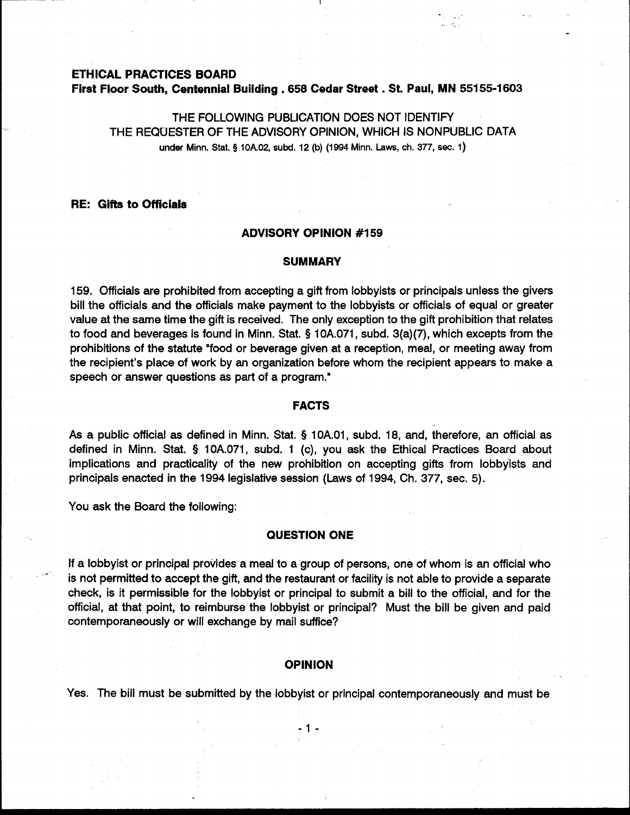#### **ETHICAL PRACTICES BOARD**

**First Floor South, Centennial Building . 658 Cedar Street . St. Paul, MN 55155-1603** 

THE FOLLOWING PUBLICATION DOES NOT IDENTIFY THE REQUESTER OF THE ADVISORY OPINION, WHICH IS NONPUBLIC DATA under Minn. Stat. **9** 10A.02, subd. 12 (b) (1994 Minn. **Laws,** ch. 377, **sec.** 1)

# **RE: Gifts to Officials**

# **ADVISORY OPINION #I 59**

#### **SUMMARY**

159. Officials are prohibited from accepting a gift from lobbyists or principals unless the givers bill the officials and the officials make payment to the lobbyists or officials of equal or greater value at the same time the gift is received. The only exception to the gift prohibition that relates to food and beverages is found in Minn. Stat. § 10A.071, subd. 3(a)(7), which excepts from the prohibitions of the statute "food or beverage given at a reception, meal, or meeting away from the recipient's place of work by an organization before whom the recipient appears to make a speech or answer questions as part of a program."

# **I**FACTS **Executive** Service Construction of the Service Construction of the Service Construction of the Service Construction of the Service Construction of the Service Construction of the Service Construction of the Servi

As a public official as defined in Minn. Stat. § 10A.01, subd. 18, and, therefore, an official as defined in Minn. Stat. § 10A.071, subd. 1 (c), you ask the Ethical Practices Board about implications and practicality of the new prohibition on accepting gifts from lobbyists and principals enacted in the 1994 legislative session (Laws of 1994, Ch. 377, sec. 5).

You ask the Board the following:

## **QUESTION ONE**

If a lobbyist or principal provides a meal to a group of persons, one of whom is an official who is not permitted to accept the gift, and the restaurant or facility is not able to provide a separate check, is it permissible for the lobbyist or principal to submit a bill to the official, and for the official, at that point, to reimburse the lobbyist or principal? Must the bill be given and paid contemporaneously or will exchange by mail suffice?

## **OPINION**

Yes. The bill must be submitted by the lobbyist or principal contemporaneously and must be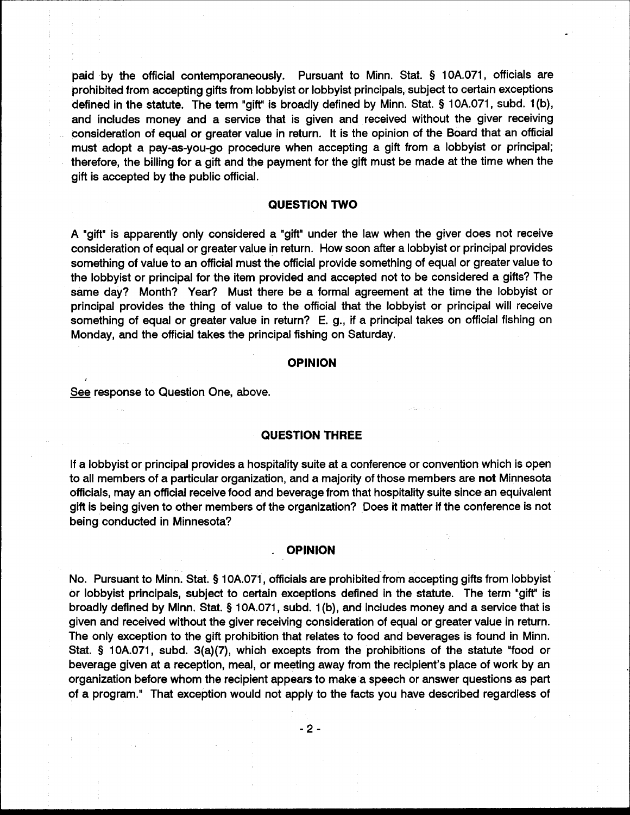paid by the official contemporaneously. Pursuant to Minn. Stat. § 10A.071, officials are prohibited from accepting gifts from lobbyist or lobbyist principals, subject to certain exceptions defined in the statute. The term "gift" is broadly defined by Minn. Stat. § 10A.071, subd. 1(b), and includes money and a service that is given and received without the giver receiving consideration of equal or greater value in return. It is the opinion of the Board that an official must adopt a pay-as-you-go procedure when accepting a gift from a lobbyist or principal; therefore, the billing for a gift and the payment for the gift must be made at the time when the gift is accepted by the public official.

# **QUESTION TWO**

A "gift" is apparently only considered a "gift" under the law when the giver does not receive consideration of equal or greater value in return. How soon after a lobbyist or principal provides something of value to an official must the official provide something of equal or greater value to the lobbyist or principal for the item provided and accepted not to be considered a gifts? The same day? Month? Year? Must there be a formal agreement at the time the lobbyist or principal provides the thing of value to the official that the lobbyist or principal will receive something of equal or greater value in return? E. g., if a principal takes on official fishing on Monday, and the official takes the principal fishing on Saturday.

## **OPINION**

See response to Question One, above.

#### **QUESTION THREE**

If a lobbyist or principal provides a hospitality suite at a conference or convention which is open to all members of a particular organization, and a majority of those members are not Minnesota officials, may an official receive food and beverage from that hospitality suite since an equivalent gift is being given to other members of the organization? Does it matter if the conference is not being conducted in Minnesota?

## **OPINION**

No. Pursuant to Minn. Stat. § 10A.071, officials are prohibited from accepting gifts from lobbyist or lobbyist principals, subject to certain exceptions defined in the statute. The term "gift" is broadly defined by Minn. Stat. § 10A.071, subd. 1(b), and includes money and a service that is given and received without the giver receiving consideration of equal or greater value in return. The only exception to the gift prohibition that relates to food and beverages is found in Minn. Stat. § 10A.071, subd. 3(a)(7), which excepts from the prohibitions of the statute "food or beverage given at a reception, meal, or meeting away from the recipient's place of work by an organization before whom the recipient appears to make a speech or answer questions as part of a program." That exception would not apply to the facts you have described regardless of

 $-2-$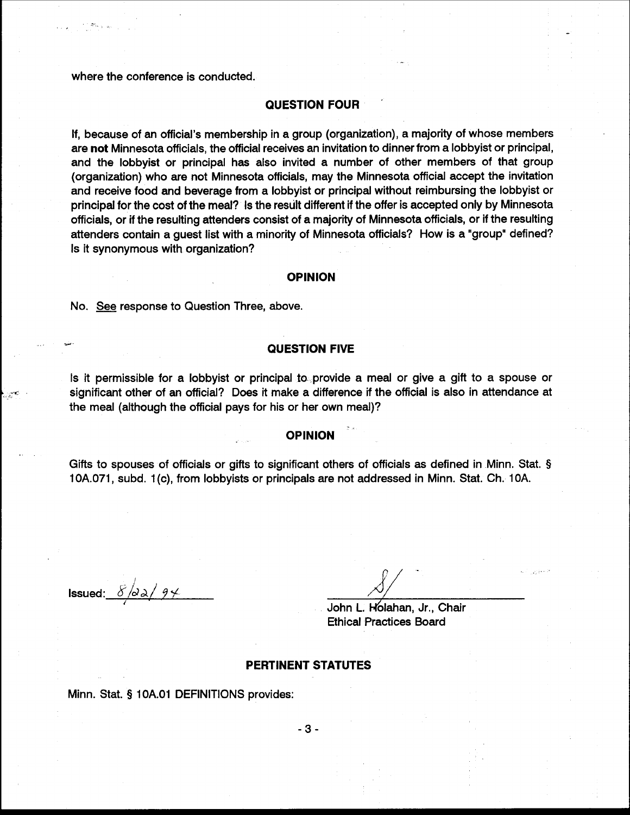where the conference is conducted.

## **QUESTION FOUR**

If, because of an official's membership in a group (organization), a majority of whose members are not Minnesota officials, the official receives an invitation to dinner from a lobbyist or principal, and the lobbyist or principal has also invited a number of other members of that group (organization) who are not Minnesota officials, may the Minnesota official accept the invitation and receive food and beverage from a lobbyist or principal without reimbursing the lobbyist or principal for the cost of the meal? Is the result different if the offer is accepted only by Minnesota officials, or if the resulting attenders consist of a majority of Minnesota officials, or if the resulting attenders contain a guest list with a minority of Minnesota officials? How is a "group" defined? Is it synonymous with organization?

#### **OPINION**

No. See response to Question Three, above.

#### **QUESTION FIVE**

Is it permissible for a lobbyist or principal to provide a meal or give a gift to a spouse or significant other of an official? Does it make a difference if the official is also in attendance at the meal (although the official pays for his or her own meal)?

## **OPINION**

Gifts to spouses of officials or gifts to significant others of officials as defined in Minn. Stat. § 10A.071, subd. 1(c), from lobbyists or principals are not addressed in Minn. Stat. Ch. 10A.

**Issued:**  $8/\partial \lambda / 94$ 

John L. Holahan, Jr., Chair **Ethical Practices Board** 

# **PERTINENT STATUTES**

Minn. Stat. § 10A.01 DEFINITIONS provides:

 $-3-$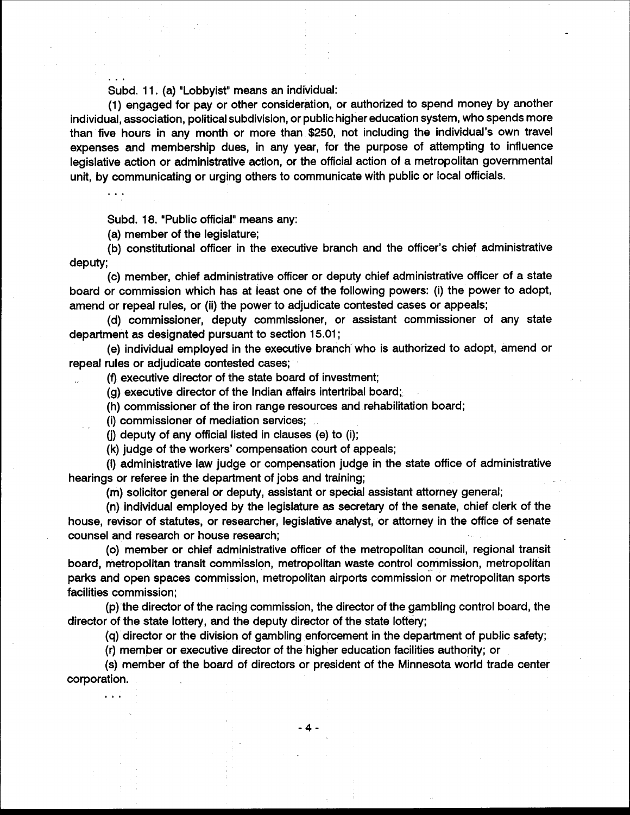Subd. 11. (a) "Lobbyist" means an individual:

(1) engaged for pay or other consideration, or authorized to spend money by another individual, association, political subdivision, or public higher education system, who spends more than five hours in any month or more than \$250, not including the individual's own travel expenses and membership dues, in any year, for the purpose of attempting to influence legislative action or administrative action, or the official action of a metropolitan governmental unit, by communicating or urging others to communicate with public or local officials.

Subd. 18. "Public official" means any:

(a) member of the legislature;

(b) constitutional officer in the executive branch and the officer's chief administrative deputy;

(c) member, chief administrative officer or deputy chief administrative officer of a state board or commission which has at least one of the following powers: (i) the power to adopt, amend or repeal rules, or (ii) the power to adjudicate contested cases or appeals;

(d) commissioner, deputy commissioner, or assistant commissioner of any state department as designated pursuant to section 15.01;

(e) individual employed in the executive branch who is authorized to adopt, amend or repeal rules or adjudicate contested cases;

(f) executive director of the state board of investment;

(g) executive director of the Indian affairs intertribal board;

(h) commissioner of the iron range resources and rehabilitation board;

(i) commissioner of mediation services;

(i) deputy of any official listed in clauses (e) to (i);

(k) judge of the workers' compensation court of appeals;

(I) administrative law judge or compensation judge in the state office of administrative hearings or referee in the department of jobs and training;

(m) solicitor general or deputy, assistant or special assistant attorney general;

(n) individual employed by the legislature as secretary of the senate, chief clerk of the house, revisor of statutes, or researcher, legislative analyst, or attorney in the office of senate counsel and research or house research;

(o) member or chief administrative officer of the metropolitan council, regional transit board, metropolitan transit commission, metropolitan waste control commission, metropolitan parks and open spaces commission, metropolitan airports commission or metropolitan sports facilities commission;

(p) the director of the racing commission, the director of the gambling control board, the director of the state lottery, and the deputy director of the state lottery;

(q) director or the division of gambling enforcement in the department of public safety;

(r) member or executive director of the higher education facilities authority; or

(s) member of the board of directors or president of the Minnesota world trade center corporation.